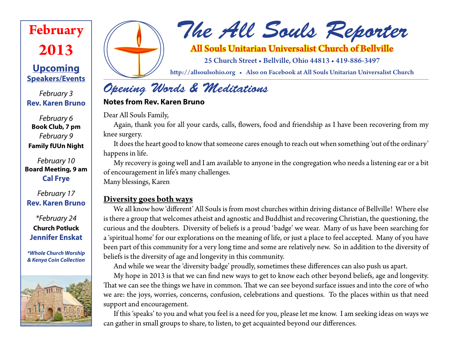# **February 2013**

### **Upcoming Speakers/Events**

*February 3* **Rev. Karen Bruno**

*February 6* **Book Club, 7 pm** *February 9* **Family fUUn Night**

*February 10* **Board Meeting, 9 am Cal Frye**

*February 17* **Rev. Karen Bruno**

*\*February 24* **Church Potluck Jennifer Enskat**

*\*Whole Church Worship & Kenya Coin Collection*





*The All Souls Reporter*

### All Souls Unitarian Universalist Church of Bellville

25 Church Street • Bellville, Ohio 44813 • 419-886-3497

http://allsoulsohio.org • Also on Facebook at All Souls Unitarian Universalist Church

## *Opening Words & Meditations*

#### **Notes from Rev. Karen Bruno**

Dear All Souls Family,

Again, thank you for all your cards, calls, flowers, food and friendship as I have been recovering from my knee surgery.

It does the heart good to know that someone cares enough to reach out when something 'out of the ordinary' happens in life.

My recovery is going well and I am available to anyone in the congregation who needs a listening ear or a bit of encouragement in life's many challenges.

Many blessings, Karen

### **Diversity goes both ways**

We all know how 'different' All Souls is from most churches within driving distance of Bellville! Where else is there a group that welcomes atheist and agnostic and Buddhist and recovering Christian, the questioning, the curious and the doubters. Diversity of beliefs is a proud 'badge' we wear. Many of us have been searching for a 'spiritual home' for our explorations on the meaning of life, or just a place to feel accepted. Many of you have been part of this community for a very long time and some are relatively new. So in addition to the diversity of beliefs is the diversity of age and longevity in this community.

And while we wear the 'diversity badge' proudly, sometimes these differences can also push us apart.

My hope in 2013 is that we can find new ways to get to know each other beyond beliefs, age and longevity. That we can see the things we have in common. That we can see beyond surface issues and into the core of who we are: the joys, worries, concerns, confusion, celebrations and questions. To the places within us that need support and encouragement.

If this 'speaks' to you and what you feel is a need for you, please let me know. I am seeking ideas on ways we can gather in small groups to share, to listen, to get acquainted beyond our differences.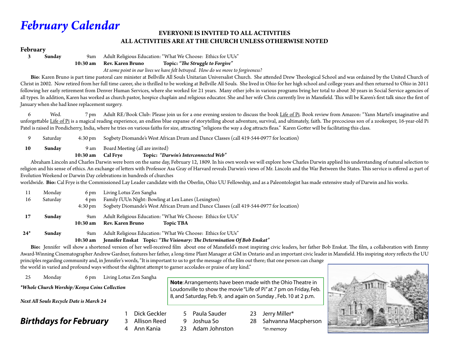## *February Calendar*

#### **EVERYONE IS INVITED TO ALL ACTIVITIES ALL ACTIVITIES ARE AT THE CHURCH UNLESS OTHERWISE NOTED**

#### **February**

**3 Sunday** 9am Adult Religious Education: "What We Choose: Ethics for UUs"

**10:30 am Rev. Karen Bruno Topic:** *"The Struggle to Forgive"*

 *At some point in our lives we have felt betrayed. How do we move to forgiveness?*

 **Bio**: Karen Bruno is part time pastoral care minister at Bellville All Souls Unitarian Universalist Church. She attended Drew Theological School and was ordained by the United Church of Christ in 2002. Now retired from her full time career, she is thrilled to be working at Bellville All Souls. She lived in Ohio for her high school and college years and then returned to Ohio in 2011 following her early retirement from Denver Human Services, where she worked for 21 years. Many other jobs in various programs bring her total to about 30 years in Social Service agencies of all types. In addition, Karen has worked as church pastor, hospice chaplain and religious educator. She and her wife Chris currently live in Mansfield. This will be Karen's first talk since the first of January when she had knee replacement surgery.

6 Wed. 7 pm Adult RE/Book Club: Please join us for a one evening session to discuss the book Life of Pi. Book review from Amazon: "Yann Martel's imaginative and unforgettable Life of Pi is a magical reading experience, an endless blue expanse of storytelling about adventure, survival, and ultimately, faith. The precocious son of a zookeeper, 16-year-old Pi Patel is raised in Pondicherry, India, where he tries on various faiths for size, attracting "religions the way a dog attracts fleas." Karen Gotter will be facilitating this class.

9 Saturday 4:30 pm Sogbety Diomande's West African Drum and Dance Classes (call 419-544-0977 for location)

**10 Sunday** 9 am Board Meeting (all are invited)

#### **10:30 am Cal Frye Topic:** *"Darwin's Interconnected Web"*

 Abraham Lincoln and Charles Darwin were born on the same day, February 12, 1809. In his own words we will explore how Charles Darwin applied his understanding of natural selection to religion and his sense of ethics. An exchange of letters with Professor Asa Gray of Harvard reveals Darwin's views of Mr. Lincoln and the War Between the States. This service is offered as part of Evolution Weekend or Darwin Day celebrations in hundreds of churches

worldwide. **Bio:** Cal Frye is the Commissioned Lay Leader candidate with the Oberlin, Ohio UU Fellowship, and as a Paleontologist has made extensive study of Darwin and his works.

| 11                     | Monday   | 6 pm               | Living Lotus Zen Sangha                                                                 |  |  |
|------------------------|----------|--------------------|-----------------------------------------------------------------------------------------|--|--|
| 16                     | Saturday | 4 pm               | Family fUUn Night: Bowling at Lex Lanes (Lexington)                                     |  |  |
|                        |          | $4:30 \text{ pm}$  | Sogbety Diomande's West African Drum and Dance Classes (call 419-544-0977 for location) |  |  |
| 17                     | Sunday   | 9am                | Adult Religious Education: "What We Choose: Ethics for UUs"                             |  |  |
|                        |          | $10:30 \text{ am}$ | <b>Rev. Karen Bruno</b><br><b>Topic TBA</b>                                             |  |  |
| $24*$<br>Sunday<br>9am |          |                    | Adult Religious Education: "What We Choose: Ethics for UUs"                             |  |  |
|                        |          | $10:30 \text{ am}$ | Jennifer Enskat Topic: "The Visionary: The Determination Of Bob Enskat"                 |  |  |

Bio: Jennifer will show a shortened version of her well-received film about one of Mansfield's most inspiring civic leaders, her father Bob Enskat. The film, a collaboration with Emmy Award-Winning Cinematographer Andrew Gardner, features her father, a long-time Plant Manager at GM in Ontario and an important civic leader in Mansfield. His inspiring story reflects the UU

principles regarding community and, in Jennifer's words, "It is important to us to get the message of the film out there; that one person can change the world in varied and profound ways without the slightest attempt to garner accolades or praise of any kind."

25 Monday 6 pm Living Lotus Zen Sangha

*\*Whole Church Worship/Kenya Coins Collection*

*Next All Souls Recycle Date is March 24*

*Birthdays for February*

**Note**: Arrangements have been made with the Ohio Theatre in Loudonville to show the movie "Life of Pi" at 7 pm on Friday, Feb. 8, and Saturday, Feb. 9, and again on Sunday , Feb. 10 at 2 p.m.

- 5 Paula Sauder 1 Dick Geckler
- 9 Joshua So 3 Allison Reed

4 Ann Kania

- 23 Adam Johnston
- 23 Jerry Miller\*

28 Sahvanna Macpherson *\*in memory*

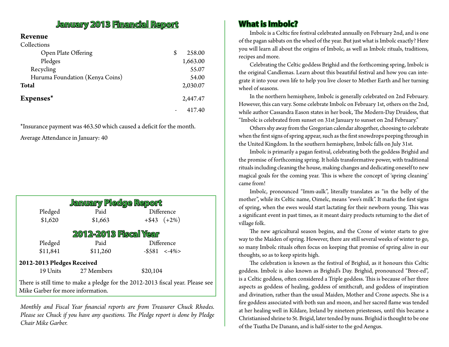### **January 2013 Financial Report**

#### **Revenue**  $\sim$  11  $\sim$

| Collections                     |              |
|---------------------------------|--------------|
| Open Plate Offering             | \$<br>258.00 |
| Pledges                         | 1,663.00     |
| Recycling                       | 55.07        |
| Huruma Foundation (Kenya Coins) | 54.00        |
| <b>Total</b>                    | 2,030.07     |
| Expenses*                       | 2,447.47     |
|                                 | 417.40       |

\*Insurance payment was 463.50 which caused a deficit for the month.

Average Attendance in January: 40

| January Pledge Report                                                          |            |                 |  |  |  |  |  |
|--------------------------------------------------------------------------------|------------|-----------------|--|--|--|--|--|
| Pledged                                                                        | Paid       | Difference      |  |  |  |  |  |
| \$1,620                                                                        | \$1,663    | $+$ \$43 (+2%)  |  |  |  |  |  |
| <b>2012-2013 Fiscal Year</b>                                                   |            |                 |  |  |  |  |  |
| Pledged                                                                        | Paid       | Difference      |  |  |  |  |  |
| \$11,841                                                                       | \$11,260   | $-$ \$581 < -4% |  |  |  |  |  |
| 2012-2013 Pledges Received                                                     |            |                 |  |  |  |  |  |
| 19 Units                                                                       | 27 Members | \$20,104        |  |  |  |  |  |
| There is still time to make a pledge for the 2012-2013 fiscal year. Please see |            |                 |  |  |  |  |  |

Mike Garber for more information.

*Monthly and Fiscal Year financial reports are from Treasurer Chuck Rhodes. Please see Chuck if you have any questions. The Pledge report is done by Pledge Chair Mike Garber.*

#### **What is Imbolc?**

Imbolc is a Celtic fire festival celebrated annually on February 2nd, and is one of the pagan sabbats on the wheel of the year. But just what is Imbolc exactly? Here you will learn all about the origins of Imbolc, as well as Imbolc rituals, traditions, recipes and more.

Celebrating the Celtic goddess Brighid and the forthcoming spring, Imbolc is the original Candlemas. Learn about this beautiful festival and how you can integrate it into your own life to help you live closer to Mother Earth and her turning wheel of seasons.

In the northern hemisphere, Imbolc is generally celebrated on 2nd February. However, this can vary. Some celebrate Imbolc on February 1st, others on the 2nd, while author Cassandra Eason states in her book, The Modern-Day Druidess, that "Imbolc is celebrated from sunset on 31st January to sunset on 2nd February."

Others shy away from the Gregorian calendar altogether, choosing to celebrate when the first signs of spring appear, such as the first snowdrops peeping through in the United Kingdom. In the southern hemisphere, Imbolc falls on July 31st.

Imbolc is primarily a pagan festival, celebrating both the goddess Brighid and the promise of forthcoming spring. It holds transformative power, with traditional rituals including cleaning the house, making changes and dedicating oneself to new magical goals for the coming year. This is where the concept of 'spring cleaning' came from!

Imbolc, pronounced "Imm-aulk", literally translates as "in the belly of the mother", while its Celtic name, Oimelc, means "ewe's milk". It marks the first signs of spring, when the ewes would start lactating for their newborn young. This was a significant event in past times, as it meant dairy products returning to the diet of village folk.

The new agricultural season begins, and the Crone of winter starts to give way to the Maiden of spring. However, there are still several weeks of winter to go, so many Imbolc rituals often focus on keeping that promise of spring alive in our thoughts, so as to keep spirits high.

The celebration is known as the festival of Brighid, as it honours this Celtic goddess. Imbolc is also known as Brighid's Day. Brighid, pronounced "Bree-ed", is a Celtic goddess, often considered a Triple goddess. This is because of her three aspects as goddess of healing, goddess of smithcraft, and goddess of inspiration and divination, rather than the usual Maiden, Mother and Crone aspects. She is a fire goddess associated with both sun and moon, and her sacred flame was tended at her healing well in Kildare, Ireland by nineteen priestesses, until this became a Christianised shrine to St. Brigid, later tended by nuns. Brighid is thought to be one of the Tuatha De Danann, and is half-sister to the god Aengus.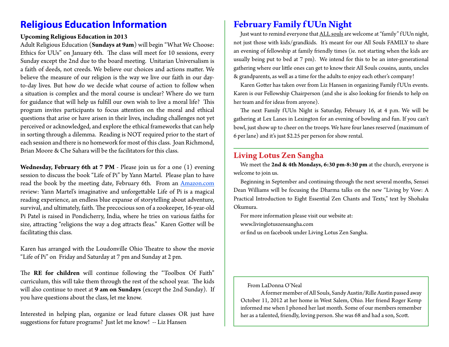## **Religious Education Information**

#### **Upcoming Religious Education in 2013**

Adult Religious Education (**Sundays at 9am**) will begin "What We Choose: Ethics for UUs" on January 6th. The class will meet for 10 sessions, every Sunday except the 2nd due to the board meeting. Unitarian Universalism is a faith of deeds, not creeds. We believe our choices and actions matter. We believe the measure of our religion is the way we live our faith in our dayto-day lives. But how do we decide what course of action to follow when a situation is complex and the moral course is unclear? Where do we turn for guidance that will help us fulfill our own wish to live a moral life? This program invites participants to focus attention on the moral and ethical questions that arise or have arisen in their lives, including challenges not yet perceived or acknowledged, and explore the ethical frameworks that can help in sorting through a dilemma. Reading is NOT required prior to the start of each session and there is no homework for most of this class. Joan Richmond, Brian Moore & Che Sahara will be the facilitators for this class.

**Wednesday, February 6th at 7 PM** - Please join us for a one (1) evening session to discuss the book "Life of Pi" by Yann Martel. Please plan to have read the book by the meeting date, February 6th. From an Amazon.com review: Yann Martel's imaginative and unforgettable Life of Pi is a magical reading experience, an endless blue expanse of storytelling about adventure, survival, and ultimately, faith. The precocious son of a zookeeper, 16-year-old Pi Patel is raised in Pondicherry, India, where he tries on various faiths for size, attracting "religions the way a dog attracts fleas." Karen Gotter will be facilitating this class.

Karen has arranged with the Loudonville Ohio Theatre to show the movie "Life of Pi" on Friday and Saturday at 7 pm and Sunday at 2 pm.

The **RE for children** will continue following the "Toolbox Of Faith" curriculum, this will take them through the rest of the school year. The kids will also continue to meet at **9 am on Sundays** (except the 2nd Sunday). If you have questions about the class, let me know.

Interested in helping plan, organize or lead future classes OR just have suggestions for future programs? Just let me know! -- Liz Hansen

### **February Family f UUn Night**

Just want to remind everyone that ALL souls are welcome at "family" f UUn night, not just those with kids/grandkids. It's meant for our All Souls FAMILY to share an evening of fellowship at family friendly times (ie. not starting when the kids are usually being put to bed at 7 pm). We intend for this to be an inter-generational gathering where our little ones can get to know their All Souls cousins, aunts, uncles & grandparents, as well as a time for the adults to enjoy each other's company!

Karen Gotter has taken over from Liz Hansen in organizing Family f UUn events. Karen is our Fellowship Chairperson (and she is also looking for friends to help on her team and for ideas from anyone).

The next Family fUUn Night is Saturday, February 16, at 4 p.m. We will be gathering at Lex Lanes in Lexington for an evening of bowling and fun. If you can't bowl, just show up to cheer on the troops. We have four lanes reserved (maximum of 6 per lane) and it's just \$2.25 per person for show rental.

#### **Living Lotus Zen Sangha**

We meet the **2nd & 4th Mondays, 6:30 pm-8:30 pm** at the church, everyone is welcome to join us.

Beginning in September and continuing through the next several months, Sensei Dean Williams will be focusing the Dharma talks on the new "Living by Vow: A Practical Introduction to Eight Essential Zen Chants and Texts," text by Shohaku Okumura.

For more information please visit our website at: www.livinglotuszensangha.com or find us on facebook under Living Lotus Zen Sangha.

From LaDonna O'Neal

A former member of All Souls, Sandy Austin/Rille Austin passed away October 11, 2012 at her home in West Salem, Ohio. Her friend Roger Kemp informed me when I phoned her last month. Some of our members remember her as a talented, friendly, loving person. She was 68 and had a son, Scott.